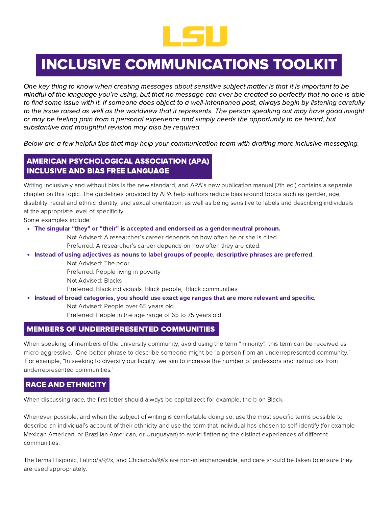

# INCLUSIVE COMMUNICATIONS TOOLKIT

One key thing to know when creating messages about sensitive subject matter is that it is important to be mindful of the language you're using, but that no message can ever be created so perfectly that no one is able to find some issue with it. If someone does object to a well-intentioned post, always begin by listening carefully to the issue raised as well as the worldview that it represents. The person speaking out may have good insight or may be feeling pain from a personal experience and simply needs the opportunity to be heard, but substantive and thoughtful revision may also be required.

Below are a few helpful tips that may help your communication team with drafting more inclusive messaging.

## AMERICAN PSYCHOLOGICAL ASSOCIATION (APA) INCLUSIVE AND BIAS FREE LANGUAGE

Writing inclusively and without bias is the new standard, and APA's new publication manual (7th ed.) contains a separate chapter on this topic. The guidelines provided by APA help authors reduce bias around topics such as gender, age, disability, racial and ethnic identity, and sexual orientation, as well as being sensitive to labels and describing individuals at the appropriate level of specificity.

Some examples include:

The singular "they" or "their" is accepted and endorsed as a gender-neutral pronoun.

Not Advised: A researcher's career depends on how often he or she is cited. Preferred: A researcher's career depends on how often they are cited.

- Instead of using adjectives as nouns to label groups of people, descriptive phrases are preferred.
	- Not Advised: The poor
	- Preferred: People living in poverty
	- Not Advised: Blacks

Preferred: Black individuals, Black people, Black communities

- Instead of broad categories, you should use exact age ranges that are more relevant and specific.
	- Not Advised: People over 65 years old

Preferred: People in the age range of 65 to 75 years old

### MEMBERS OF UNDERREPRESENTED COMMUNITIES

When speaking of members of the university community, avoid using the term "minority"; this term can be received as micro-aggressive. One better phrase to describe someone might be "a person from an underrepresented community." For example, "In seeking to diversify our faculty, we aim to increase the number of professors and instructors from underrepresented communities."

# RACE AND ETHNICITY

When discussing race, the first letter should always be capitalized; for example, the b on Black.

Whenever possible, and when the subject of writing is comfortable doing so, use the most specific terms possible to describe an individual's account of their ethnicity and use the term that individual has chosen to self-identify (for example Mexican American, or Brazilian American, or Uruguayan) to avoid flattening the distinct experiences of different communities.

The terms Hispanic, Latino/a/@/x, and Chicano/a/@/x are non-interchangeable, and care should be taken to ensure they are used appropriately.